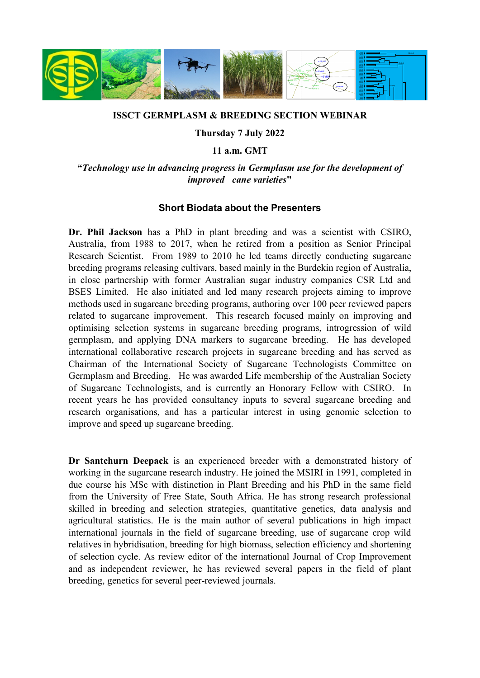

## **ISSCT GERMPLASM & BREEDING SECTION WEBINAR**

## **Thursday 7 July 2022**

## **11 a.m. GMT**

**"***Technology use in advancing progress in Germplasm use for the development of improved cane varieties***"**

## **Short Biodata about the Presenters**

**Dr. Phil Jackson** has a PhD in plant breeding and was a scientist with CSIRO, Australia, from 1988 to 2017, when he retired from a position as Senior Principal Research Scientist. From 1989 to 2010 he led teams directly conducting sugarcane breeding programs releasing cultivars, based mainly in the Burdekin region of Australia, in close partnership with former Australian sugar industry companies CSR Ltd and BSES Limited. He also initiated and led many research projects aiming to improve methods used in sugarcane breeding programs, authoring over 100 peer reviewed papers related to sugarcane improvement. This research focused mainly on improving and optimising selection systems in sugarcane breeding programs, introgression of wild germplasm, and applying DNA markers to sugarcane breeding. He has developed international collaborative research projects in sugarcane breeding and has served as Chairman of the International Society of Sugarcane Technologists Committee on Germplasm and Breeding. He was awarded Life membership of the Australian Society of Sugarcane Technologists, and is currently an Honorary Fellow with CSIRO. In recent years he has provided consultancy inputs to several sugarcane breeding and research organisations, and has a particular interest in using genomic selection to improve and speed up sugarcane breeding.

**Dr Santchurn Deepack** is an experienced breeder with a demonstrated history of working in the sugarcane research industry. He joined the MSIRI in 1991, completed in due course his MSc with distinction in Plant Breeding and his PhD in the same field from the University of Free State, South Africa. He has strong research professional skilled in breeding and selection strategies, quantitative genetics, data analysis and agricultural statistics. He is the main author of several publications in high impact international journals in the field of sugarcane breeding, use of sugarcane crop wild relatives in hybridisation, breeding for high biomass, selection efficiency and shortening of selection cycle. As review editor of the international Journal of Crop Improvement and as independent reviewer, he has reviewed several papers in the field of plant breeding, genetics for several peer-reviewed journals.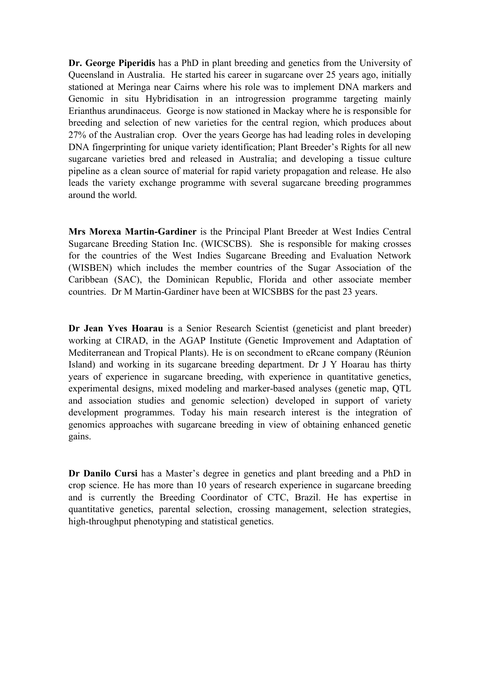**Dr. George Piperidis** has a PhD in plant breeding and genetics from the University of Queensland in Australia. He started his career in sugarcane over 25 years ago, initially stationed at Meringa near Cairns where his role was to implement DNA markers and Genomic in situ Hybridisation in an introgression programme targeting mainly Erianthus arundinaceus. George is now stationed in Mackay where he is responsible for breeding and selection of new varieties for the central region, which produces about 27% of the Australian crop. Over the years George has had leading roles in developing DNA fingerprinting for unique variety identification; Plant Breeder's Rights for all new sugarcane varieties bred and released in Australia; and developing a tissue culture pipeline as a clean source of material for rapid variety propagation and release. He also leads the variety exchange programme with several sugarcane breeding programmes around the world.

**Mrs Morexa Martin-Gardiner** is the Principal Plant Breeder at West Indies Central Sugarcane Breeding Station Inc. (WICSCBS). She is responsible for making crosses for the countries of the West Indies Sugarcane Breeding and Evaluation Network (WISBEN) which includes the member countries of the Sugar Association of the Caribbean (SAC), the Dominican Republic, Florida and other associate member countries. Dr M Martin-Gardiner have been at WICSBBS for the past 23 years.

**Dr Jean Yves Hoarau** is a Senior Research Scientist (geneticist and plant breeder) working at CIRAD, in the AGAP Institute (Genetic Improvement and Adaptation of Mediterranean and Tropical Plants). He is on secondment to eRcane company (Réunion Island) and working in its sugarcane breeding department. Dr J Y Hoarau has thirty years of experience in sugarcane breeding, with experience in quantitative genetics, experimental designs, mixed modeling and marker-based analyses (genetic map, QTL and association studies and genomic selection) developed in support of variety development programmes. Today his main research interest is the integration of genomics approaches with sugarcane breeding in view of obtaining enhanced genetic gains.

**Dr Danilo Cursi** has a Master's degree in genetics and plant breeding and a PhD in crop science. He has more than 10 years of research experience in sugarcane breeding and is currently the Breeding Coordinator of CTC, Brazil. He has expertise in quantitative genetics, parental selection, crossing management, selection strategies, high-throughput phenotyping and statistical genetics.